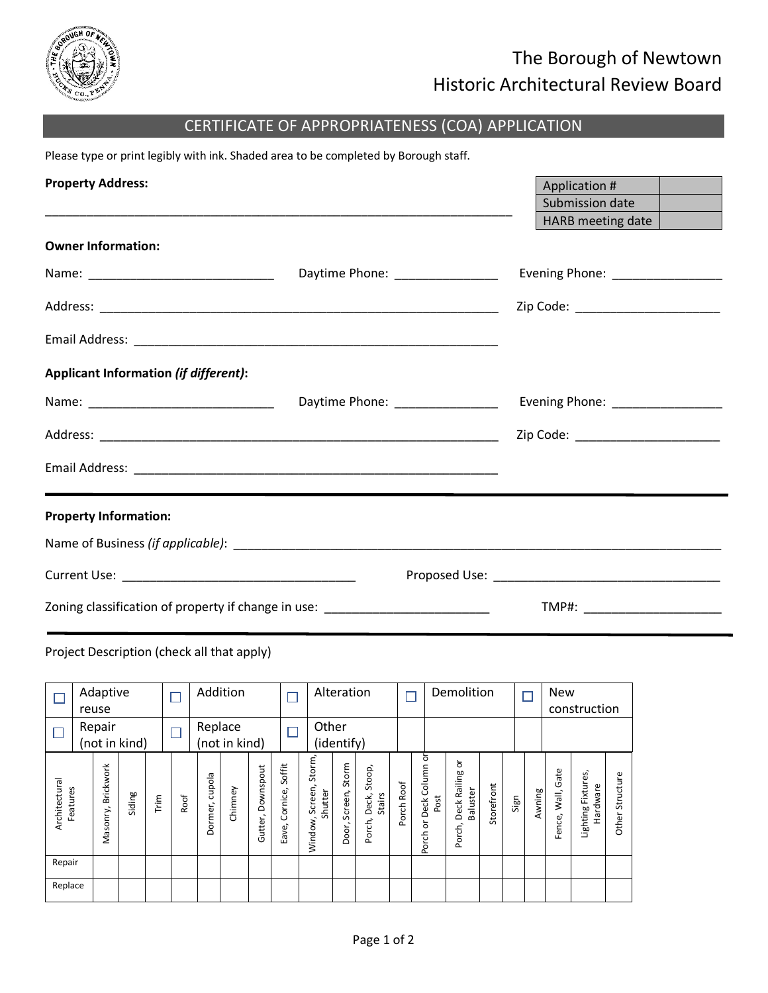

## The Borough of Newtown Historic Architectural Review Board

## CERTIFICATE OF APPROPRIATENESS (COA) APPLICATION

Please type or print legibly with ink. Shaded area to be completed by Borough staff.

| <b>Property Address:</b>                                                         |                                  | Application #<br>Submission date<br>HARB meeting date $\vert$ |
|----------------------------------------------------------------------------------|----------------------------------|---------------------------------------------------------------|
| <b>Owner Information:</b>                                                        |                                  |                                                               |
|                                                                                  | Daytime Phone: ________________  | Evening Phone: _________________                              |
|                                                                                  |                                  | Zip Code: ________________________                            |
|                                                                                  |                                  |                                                               |
| Applicant Information (if different):                                            |                                  |                                                               |
|                                                                                  | Daytime Phone: _________________ | Evening Phone: _________________                              |
|                                                                                  |                                  | Zip Code: __________________________                          |
|                                                                                  |                                  |                                                               |
| <b>Property Information:</b>                                                     |                                  |                                                               |
|                                                                                  |                                  |                                                               |
|                                                                                  |                                  |                                                               |
| Zoning classification of property if change in use: ____________________________ |                                  | TMP#: _________________________                               |

## Project Description (check all that apply)

|                           | Adaptive<br>reuse  |               |      |      |                | Addition      |                      |                          |                                         | Alteration                |                                     |            |                                   | Demolition                              |            |      |        | <b>New</b>              | construction                   |                    |
|---------------------------|--------------------|---------------|------|------|----------------|---------------|----------------------|--------------------------|-----------------------------------------|---------------------------|-------------------------------------|------------|-----------------------------------|-----------------------------------------|------------|------|--------|-------------------------|--------------------------------|--------------------|
|                           | Repair             | (not in kind) |      |      | Replace        | (not in kind) |                      |                          | Other                                   | (identify)                |                                     |            |                                   |                                         |            |      |        |                         |                                |                    |
| Architectural<br>Features | Masonry, Brickwork | Siding        | Trim | Roof | Dormer, cupola | Chimney       | Downspout<br>Gutter, | Soffit<br>Eave, Cornice, | Storm,<br>Screen,<br>Shutter<br>Window, | Storm<br>Screen,<br>Door, | Stoop,<br>Deck,<br>Stairs<br>Porch, | Porch Roof | ð<br>Porch or Deck Column<br>Post | ŏ<br>Deck Railing<br>Baluster<br>Porch, | Storefront | Sign | Awning | Gate<br>Wall,<br>Fence, | Lighting Fixtures,<br>Hardware | Structure<br>Other |
| Repair                    |                    |               |      |      |                |               |                      |                          |                                         |                           |                                     |            |                                   |                                         |            |      |        |                         |                                |                    |
| Replace                   |                    |               |      |      |                |               |                      |                          |                                         |                           |                                     |            |                                   |                                         |            |      |        |                         |                                |                    |